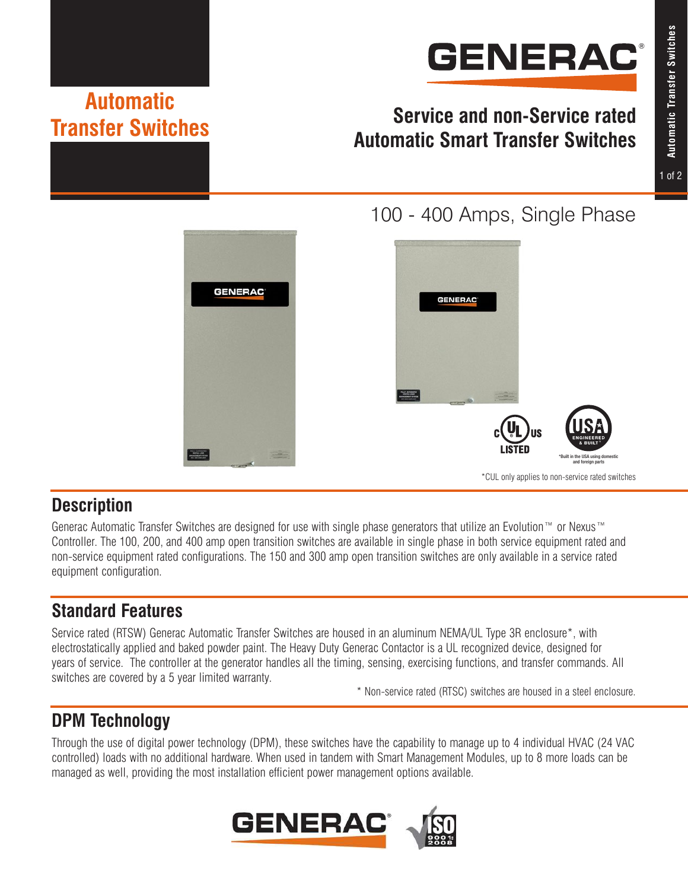# **GENERAC®**

# **Service and non-Service rated Automatic Smart Transfer Switches**



# 100 - 400 Amps, Single Phase



### **Description**

Generac Automatic Transfer Switches are designed for use with single phase generators that utilize an Evolution™ or Nexus™ Controller. The 100, 200, and 400 amp open transition switches are available in single phase in both service equipment rated and non-service equipment rated configurations. The 150 and 300 amp open transition switches are only available in a service rated equipment configuration.

# **Standard Features**

**Automatic** 

**Transfer Switches**

Service rated (RTSW) Generac Automatic Transfer Switches are housed in an aluminum NEMA/UL Type 3R enclosure\*, with electrostatically applied and baked powder paint. The Heavy Duty Generac Contactor is a UL recognized device, designed for years of service. The controller at the generator handles all the timing, sensing, exercising functions, and transfer commands. All switches are covered by a 5 year limited warranty.

\* Non-service rated (RTSC) switches are housed in a steel enclosure.

# **DPM Technology**

Through the use of digital power technology (DPM), these switches have the capability to manage up to 4 individual HVAC (24 VAC controlled) loads with no additional hardware. When used in tandem with Smart Management Modules, up to 8 more loads can be managed as well, providing the most installation efficient power management options available.